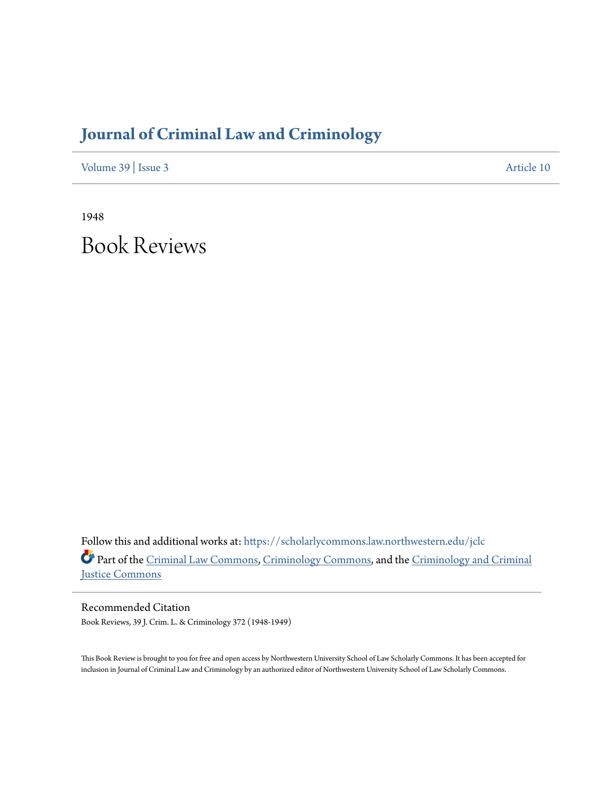## **[Journal of Criminal Law and Criminology](https://scholarlycommons.law.northwestern.edu/jclc?utm_source=scholarlycommons.law.northwestern.edu%2Fjclc%2Fvol39%2Fiss3%2F10&utm_medium=PDF&utm_campaign=PDFCoverPages)**

[Volume 39](https://scholarlycommons.law.northwestern.edu/jclc/vol39?utm_source=scholarlycommons.law.northwestern.edu%2Fjclc%2Fvol39%2Fiss3%2F10&utm_medium=PDF&utm_campaign=PDFCoverPages) | [Issue 3](https://scholarlycommons.law.northwestern.edu/jclc/vol39/iss3?utm_source=scholarlycommons.law.northwestern.edu%2Fjclc%2Fvol39%2Fiss3%2F10&utm_medium=PDF&utm_campaign=PDFCoverPages) [Article 10](https://scholarlycommons.law.northwestern.edu/jclc/vol39/iss3/10?utm_source=scholarlycommons.law.northwestern.edu%2Fjclc%2Fvol39%2Fiss3%2F10&utm_medium=PDF&utm_campaign=PDFCoverPages)

1948 Book Reviews

Follow this and additional works at: [https://scholarlycommons.law.northwestern.edu/jclc](https://scholarlycommons.law.northwestern.edu/jclc?utm_source=scholarlycommons.law.northwestern.edu%2Fjclc%2Fvol39%2Fiss3%2F10&utm_medium=PDF&utm_campaign=PDFCoverPages) Part of the [Criminal Law Commons](http://network.bepress.com/hgg/discipline/912?utm_source=scholarlycommons.law.northwestern.edu%2Fjclc%2Fvol39%2Fiss3%2F10&utm_medium=PDF&utm_campaign=PDFCoverPages), [Criminology Commons](http://network.bepress.com/hgg/discipline/417?utm_source=scholarlycommons.law.northwestern.edu%2Fjclc%2Fvol39%2Fiss3%2F10&utm_medium=PDF&utm_campaign=PDFCoverPages), and the [Criminology and Criminal](http://network.bepress.com/hgg/discipline/367?utm_source=scholarlycommons.law.northwestern.edu%2Fjclc%2Fvol39%2Fiss3%2F10&utm_medium=PDF&utm_campaign=PDFCoverPages) [Justice Commons](http://network.bepress.com/hgg/discipline/367?utm_source=scholarlycommons.law.northwestern.edu%2Fjclc%2Fvol39%2Fiss3%2F10&utm_medium=PDF&utm_campaign=PDFCoverPages)

Recommended Citation Book Reviews, 39 J. Crim. L. & Criminology 372 (1948-1949)

This Book Review is brought to you for free and open access by Northwestern University School of Law Scholarly Commons. It has been accepted for inclusion in Journal of Criminal Law and Criminology by an authorized editor of Northwestern University School of Law Scholarly Commons.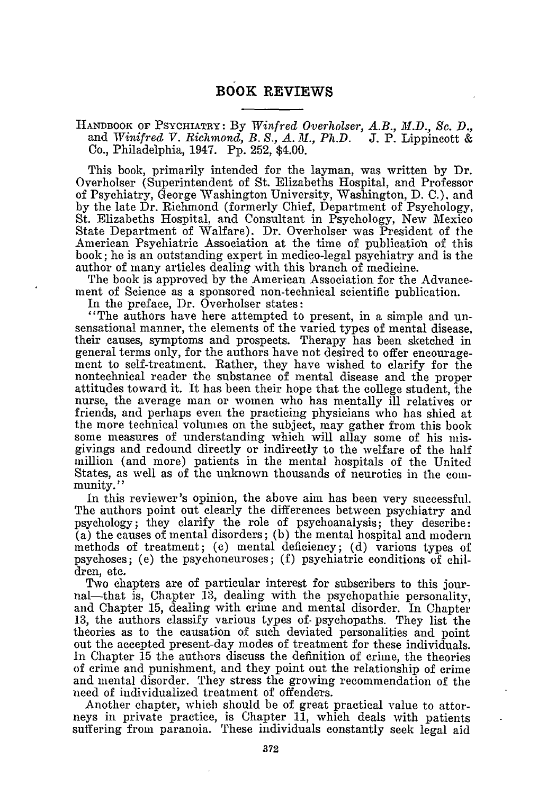HANDBOOK **OF** PSYCHIATRY: By *Winfred Overholser, A.B., M.D., Sc. D.,* and *Winifred V. Richmond*, B. S., A. M., Ph.D. **J.** P. Lippincott & Co., Philadelphia, 1947. Pp. 252, \$4.00.

This book, primarily intended for the layman, was written by Dr. Overholser (Superintendent of St. Elizabeths Hospital, and Professor of Psychiatry, George Washington University, Washington, D. C.). and by the late Dr. Richmond (formerly Chief, Department of Psychology, St. Elizabeths Hospital. and Consultant in Psychology, New Mexico State Department of Walfare). Dr. Overholser was President of the American Psychiatric Association at the time of publication of this book; he is an outstanding expert in medico-legal psychiatry and is the author of many articles dealing with this branch of medicine.

The book is approved by the American Association for the Advancement of Science as a sponsored non-technical scientific publication.

In the preface, Dr. Overholser states:

"The authors have here attempted to present, in a simple and unsensational manner, the elements of the varied types of mental disease, their causes, symptoms and prospects. Therapy has been sketched in general terms only, for the authors have not desired to offer encouragement to self-treatment. Rather, they have wished to clarify for the nontechnical reader the substance of mental disease and the proper attitudes toward it. It has been their hope that the college student, the nurse, the average man or women who has mentally ill relatives or friends, and perhaps even the practicing physicians who has shied at the more technical volumes on the subject, may gather from this book some measures of understanding which will allay some of his misgivings and redound directly or indirectly to the welfare of the half million (and more) patients in the mental hospitals of the United States, as well as of the unknown thousands of neurotics in the community."

In this reviewer's opinion, the above aim has been very successful. The authors point out clearly the differences between psychiatry and psychology; they clarify the role of psychoanalysis; they describe: (a) the causes of mental disorders; (b) the mental hospital and modern methods of treatment; (c) mental deficiency; (d) various types of psychoses; (e) the psychoneuroses; (f) psychiatric conditions of children, etc.

Two chapters are of particular interest for subscribers to this journal-that is, Chapter 13, dealing with the psychopathic personality, and Chapter 15, dealing with crime and mental disorder. In Chapter 13, the authors classify various types of- psychopaths. They list the theories as to the causation of such deviated personalities and point out the accepted present-day modes of treatment for these individuals. In Chapter 15 the authors discuss the definition of crime, the theories of crime and punishment, and they point out the relationship of crime and mental disorder. They stress the growing recommendation of the need of individualized treatment of offenders.

Another chapter, which should be of great practical value to attorneys in private practice, is Chapter 11, which deals with patients suffering from paranoia. These individuals constantly seek legal aid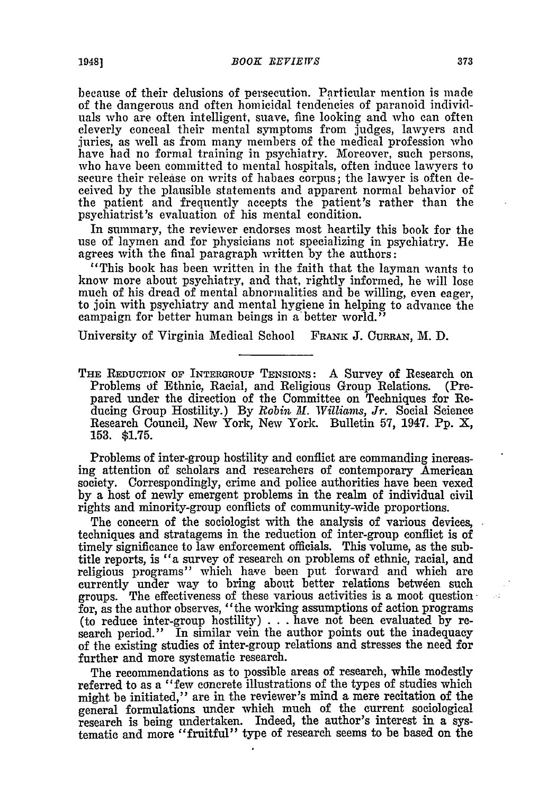because of their delusions of persecution. Particular mention is made of the dangerous and often homicidal tendencies of paranoid individuals who are often intelligent, suave, fine looking and who can often cleverly conceal their mental symptoms from judges, lawyers and juries, as well as from many members of the medical profession who have had no formal training in psychiatry. Moreover, such persons, who have been committed to mental hospitals, often induce lawyers to secure their release on writs of habaes corpus; the lawyer is often deceived by the plausible statements and apparent normal behavior of the patient and frequently accepts the patient's rather than the psychiatrist's evaluation of his mental condition.

In summary, the reviewer endorses most heartily this book for the use of laymen and for physicians not specializing in psychiatry. He agrees with the final paragraph written by the authors:

"This book has been written in the faith that the layman wants to know more about psychiatry, and that, rightly informed, he will lose much of his dread of mental abnormalities and be willing, even eager, to join with psychiatry and mental hygiene in helping to advance the campaign for better human beings in a better world."

University of Virginia Medical School **FRANK** J. CURRAN, M. D.

**THE REDUCTION OF** INTERGROUP **TENSIONS:** A Survey of Research on Problems of Ethnic, Racial, and Religious Group Relations. (Prepared under the direction of the Committee on Techniques for Reducing Group Hostility.) By *Robin M. Williants, Jr.* Social Science Research Council, New York, New York. Bulletin 57, 1947. **Pp.** X, 153. \$1.75.

Problems of inter-group hostility and conflict are commanding increasing attention of scholars and researchers of contemporary American society. Correspondingly, crime and police authorities have been vexed by a host of newly emergent problems in the realm of individual civil rights and minority-group conflicts of community-wide proportions.

The concern of the sociologist with the analysis of various devices, techniques and stratagems in the reduction of inter-group conflict is of timely significance to law enforcement officials. This volume, as the subtitle reports, is "a survey of research on problems of ethnic, racial, and religious programs" which have been put forward and which are currently under way to bring about better relations between such groups. The effectiveness of these various activities is a moot questionfor, as the author observes, "the working assumptions of action programs (to reduce inter-group hostility) . . . have not been evaluated by research period." In similar vein the author points out the inadequacy of the existing studies of inter-group relations and stresses the need for further and more systematic research.

The recommendations as to possible areas of research, while modestly referred to as a "few concrete illustrations of the types of studies which might be initiated," are in the reviewer's mind a mere recitation of the general formulations under which much of the current sociological research is being undertaken. Indeed, the author's interest in a systematic and more "fruitful" type of research seems to be based on the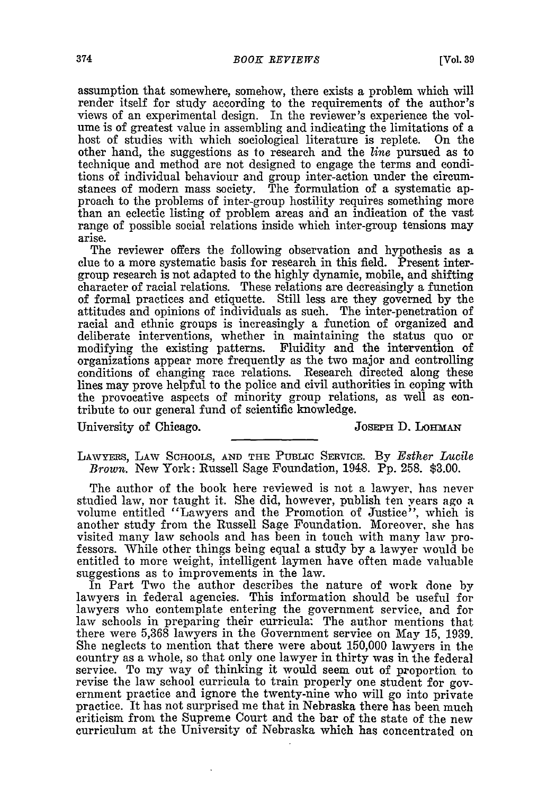assumption that somewhere, somehow, there exists a problem which will render itself for study according to the requirements of the author's views of an experimental design. In the reviewer's experience the volume is of greatest value in assembling and indicating the limitations of a host of studies with which sociological literature is replete. On the other hand, the suggestions as to research and the *line* pursued as to technique and method are not designed to engage the terms and conditions of individual behaviour and group inter-action under the circumstances of modern mass society. The formulation of a systematic approach to the problems of inter-group hostility requires something more than an eclectic listing of problem areas and an indication of the vast range of possible social relations inside which inter-group tensions may arise.

The reviewer offers the following observation and hypothesis as a clue to a more systematic basis for research in this field. Present intergroup research is not adapted to the highly dynamic, mobile, and shifting character of racial relations. These relations are decreasingly a function of formal practices and etiquette. Still less are they governed by the attitudes and opinions of individuals as such. The inter-penetration of racial and ethnic groups is increasingly a function of organized and deliberate interventions, whether in maintaining the status quo or modifying the existing patterns. Fluidity and the intervention of organizations appear more frequently as the two major and controlling conditions of changing race relations. Research directed along these lines may prove helpful to the police and civil authorities in coping with the provocative aspects of minority group relations, as well as contribute to our general fund of scientific knowledge.

University of Chicago. **JOSEPH D. LOHMAN** 

LAWYERS, **LAW** SCHOOLS, **AND THE PUBLIC** SERVICE. By *Esther Lucile Brown.* New York: Russell Sage Foundation, 1948. **Pp.** 258. \$3.00.

The author of the book here reviewed is not a lawyer, has never studied law, nor taught it. She did, however, publish ten years ago a volume entitled "Lawyers and the Promotion of Justice", which is another study from the Russell Sage Foundation. Moreover, she has visited many law schools and has been in touch with many law professors. While other things being equal a study by a lawyer would be entitled to more weight, intelligent laymen have often made valuable suggestions as to improvements in the law.

In Part Two the author describes the nature of work done by lawyers in federal agencies. This information should be useful for lawyers who contemplate entering the government service, and for law schools in preparing their curricula: The author mentions that there were 5,368 lawyers in the Government service on May 15, 1939. She neglects to mention that there were about 150,000 lawyers in the country as a whole, so that only one lawyer in thirty was in the federal service. To my way of thinking it would seem out of proportion to revise the law school curricula to train properly one student for government practice and ignore the twenty-nine who will go into private practice. It has not surprised me that in Nebraska there has been much criticism from the Supreme Court and the bar of the state of the new curriculum at the University of Nebraska which has concentrated on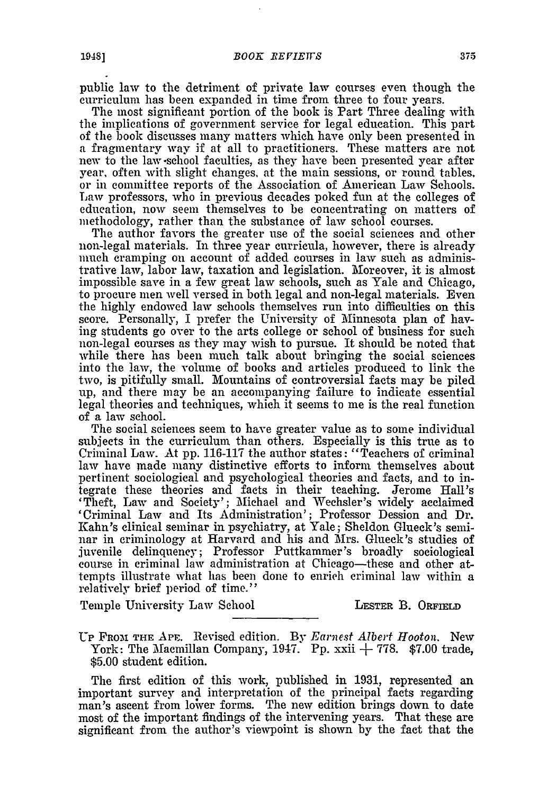public law to the detriment of private law courses even though the curriculum has been expanded in time from three to four years.

The most significant portion of the book is Part Three dealing with the implications of government service for legal education. This part of the book discusses many matters which have only been presented in a fragmentary way if at all to practitioners. These matters are not new to the law .school faculties, as they have been presented year after year, often with slight changes, at the main sessions, or round tables, or in committee reports of the Association of American Law Schools. Law professors, who in previous decades poked fun at the colleges of education, now seem themselves to be concentrating on matters of methodology, rather than the substance of law school courses.

The author favors the greater use of the social sciences and other non-legal materials. In three year curricula, however, there is already much cramping on account of added courses in law such as administrative law, labor law, taxation and legislation. Moreover, it is almost impossible save in a few great law schools, such as Yale and Chicago, to procure men well versed in both legal and non-legal materials. Even the highly endowed law schools themselves run into difficulties on this score. Personally, I prefer the University of Minnesota plan of having students go over to the arts college or school of business for such non-legal courses as they may wish to pursue. It should be noted that while there has been much talk about bringing the social sciences into the law, the volume of books and articles produced to link the two, is pitifully small. Mountains of controversial facts may be piled up, and there may be an accompanying failure to indicate essential legal theories and techniques, which it seems to me is the real function of a law school.

The social sciences seem to have greater value as to some individual subjects in the curriculum than others. Especially is this true as to Criminal Law. At pp. 116-117 the author states: "Teachers of criminal law have made many distinctive efforts to inform themselves about pertinent sociological and psychological theories and facts, and to integrate these theories and facts in their teaching. Jerome Hall's 'Theft, Law and Society'; Michael and Wechsler's widely acclaimed 'Criminal Law and Its Administration'; Professor Dession and Dr. Kahn's clinical seminar in psychiatry, at Yale; Sheldon Glueck's seminar in criminology at Harvard and his and Mrs. Glueck's studies of juvenile delinquency; Professor Puttkammer's broadly sociological course in criminal law administration at Chicago-these and other attempts illustrate what has been done to enrich criminal law within a relatively brief period of time."

Temple University Law School **LESTER B. ORFIELD** 

**UP** FROi **THE APE.** Revised edition. By *Earnest Albert Hooton.* New York: The Macmillan Company, 1947. Pp. xxii  $+$  778. \$7.00 trade, \$5.00 student edition.

The first edition of this work, published in 1931, represented an important survey and interpretation of the principal facts regarding man's ascent from loiver forms. The new edition brings down to date most of the important findings of the intervening years. That these are significant from the author's viewpoint is shown by the fact that the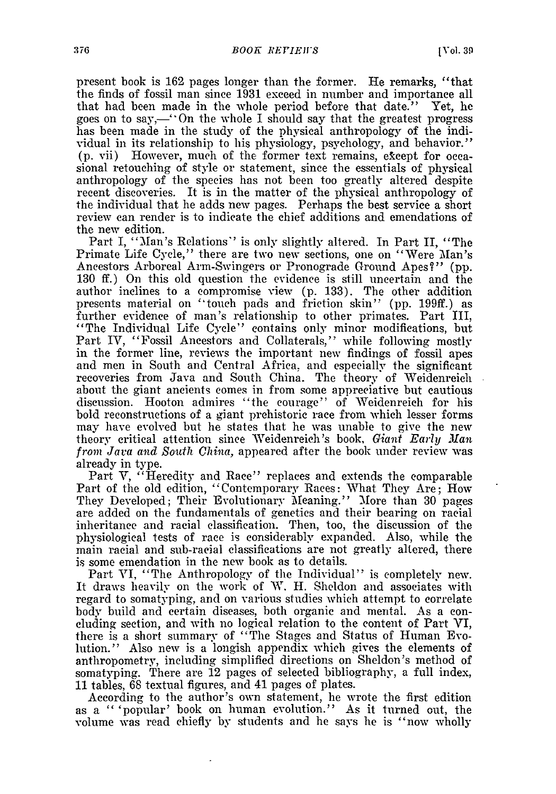present book is 162 pages longer than the former. He remarks, "that the finds of fossil man since 1931 exceed in number and importance all that had been made in the whole period before that date." Yet, he goes on to say,-"On the whole I should say that the greatest progress has been made in the study of the physical anthropology of the individual in its relationship to his physiology, psychology, and behavior." (p. vii) However, much of the former text remains, ekcept for occasional retouching of style or statement, since the essentials of physical anthropology of the species has not been too greatly altered despite recent discoveries. It is in the matter of the physical anthropology of the individual that he adds new pages. Perhaps the best service a short review can render is to indicate the chief additions and emendations of the new edition.

Part I, "Man's Relations" is only slightly altered. In Part II, "The Primate Life Cycle," there are two new sections, one on "Were Man's Ancestors Arboreal Arm-Swingers or Pronograde Ground Apes?" (pp. 130 ff.) On this old question the evidence is still uncertain and the author inclines to a compromise view (p. 133). The other addition presents material on "touch pads and friction skin" (pp. 199ff.) as further evidence of man's relationship to other primates. Part III, "The Individual Life Cycle" contains only minor modifications, but Part IV, "Fossil Ancestors and Collaterals," while following mostly in the former line, reviews the important new findings of fossil apes and men in South and Central Africa, and especially the significan recoveries from Java and South China. The theory of Weidenreich about the giant ancients comes in from some appreciative but cautious discussion. Hooton admires "the courage" of Weidenreich for his bold reconstructions of a giant prehistoric race from which lesser forms may have evolved but he states that he was unable to give the new theory critical attention since Weidenreieh's book, *Giant Early Man* frown *Java and South China,* appeared after the book under review was already in type.

Part V, "Heredity and Race" replaces and extends the comparable Part of the old edition, "Contemporary Races: What They Are; How They Developed; Their Evolutionary Meaning." More than 30 pages are added on the fundamentals of genetics and their bearing on racial inheritance and racial classification. Then, too, the discussion of the physiological tests of race is considerably expanded. Also, while the main racial and sub-racial classifications are not greatly altered, there is some emendation in the new book as to details.

Part VI, "The Anthropology of the Individual" is completely new. It draws heavily on the work of W. H. Sheldon and associates with regard to somatyping, and on various studies which attempt to correlate body build and certain diseases, both organic and mental. As a concluding section, and with no logical relation to the content of Part VI, there is a short summary of "The Stages and Status of Human Evolution." Also new is a longish appendix which gives the elements of anthropometry, including simplified directions on Sheldon's method of somatyping. There are 12 pages of selected bibliography, a full index, 11 tables, 68 textual figures, and 41 pages of plates.

According to the author's own statement, he wrote the first edition as a **"** 'popular' book on human evolution." As it turned out, the volume was read chiefly by students and he says he is "now wholly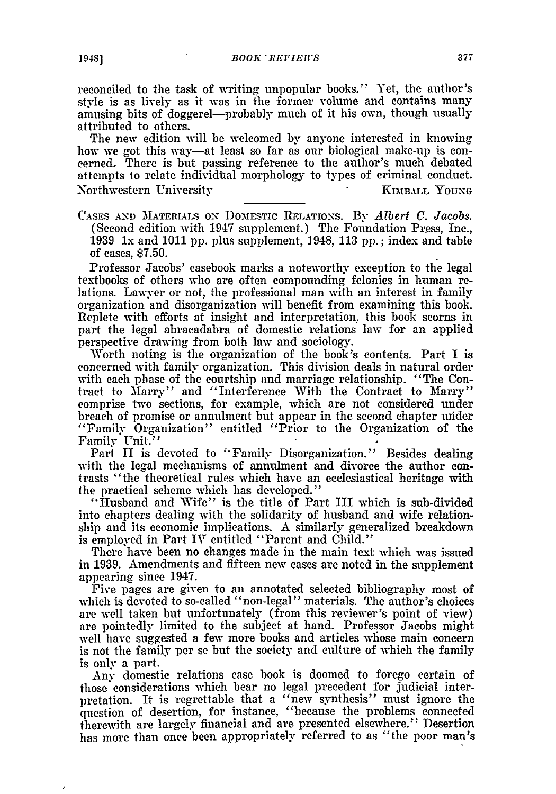reconciled to the task of writing unpopular books." Yet, the author's style is as lively as it was in the former volume and contains many amusing bits of doggerel—probably much of it his own, though usually attributed to others.

The new edition will be welcomed by anyone interested in knowing how we got this way-at least so far as our biological make-up is concerned. There is but passing reference to the author's much debated attempts to relate individial morphology to types of criminal conduct. Northwestern University **KIMBALL YOUNG**

**CASES AND MATERIALS ON** DOMESTIc RELATIONS. By *Albert C. Jacobs.* (Second edition with 1947 supplement.) The Foundation Press, Inc., 1939 lx and 1011 pp. plus supplement, 1948, 113 pp.; index and table of cases, \$7.50.

Professor Jacobs' casebook marks a noteworthy exception to the legal textbooks of others who are often compounding felonies in human relations. Lawyer or not, the professional man with an interest in family organization and disorganization will benefit from examining this book. Replete with efforts at insight and interpretation, this book scorns in part the legal abracadabra of domestic relations law for an applied perspective drawing from both law and sociology.

Worth noting is the organization of the book's contents. Part I is concerned with family organization. This division deals in natural order with each phase of the courtship and marriage relationship. "The Contract to Marry" and "Interference With the Contract to Marry" comprise two sections, for example, which are not considered under breach of promise or annulment but appear in the second chapter under "Family Organization" entitled "Prior to the Organization of the Family Unit."

Part II is devoted to "Family Disorganization." Besides dealing with the legal mechanisms of annulment and divorce the author contrasts "the theoretical rules which have an ecclesiastical heritage with the practical scheme which has developed."

"Husband and Wife" is the title of Part III which is sub-divided into chapters dealing with the solidarity of husband and wife relationship and its economic implications. A similarly generalized breakdown is employed in Part IV entitled "Parent and Child."

There have been no changes made in the main text which was issued in 1939. Amendments and fifteen new cases are noted in the supplement appearing since 1947.

Five pages are given to an annotated selected bibliography most of which is devoted to so-called "non-legal" materials. The author's choices are well taken but unfortunately (from this reviewer's point of view) are pointedly limited to the subject at hand. Professor Jacobs might well have suggested a few more books and articles whose main concern is not the family per se but the society and culture of which the family is only a part.

Any domestic relations case book is doomed to forego certain of those considerations which bear no legal precedent for judicial interpretation. It is regrettable that a "new synthesis" must ignore the question of desertion, for instance, "because the problems connected therewith are largely financial and are presented elsewhere." Desertion has more than once been appropriately referred to as "the poor man's